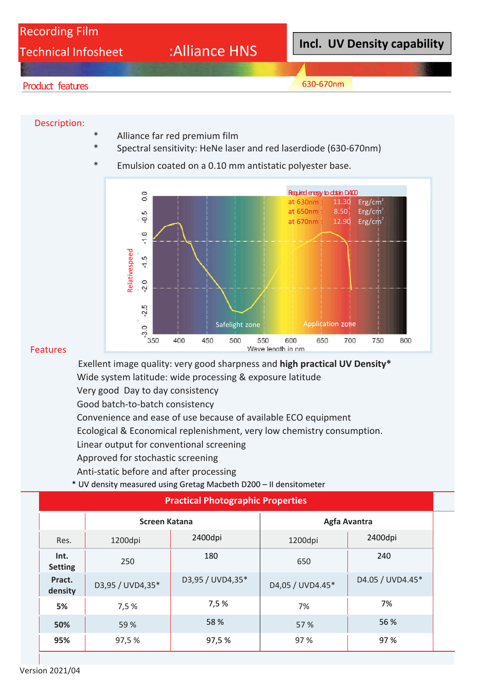# Recording Film

Technical Infosheet :Alliance HNS

**Incl. UV Density capability**

### Product features

630-670nm

#### Description:

- Alliance far red premium film
- Spectral sensitivity: HeNe laser and red laserdiode (630-670nm)
- Emulsion coated on a 0.10 mm antistatic polyester base.



#### Features

Exellent image quality: very good sharpness and **high practical UV Density\***  Wide system latitude: wide processing & exposure latitude Very good Day to day consistency Good batch‐to‐batch consistency Convenience and ease of use because of available ECO equipment Ecological & Economical replenishment, very low chemistry consumption. Linear output for conventional screening Approved for stochastic screening Anti‐static before and after processing

\* UV density measured using Gretag Macbeth D200 – II densitometer

| <b>Practical Photographic Properties</b> |                  |                  |                  |                  |  |  |  |  |  |
|------------------------------------------|------------------|------------------|------------------|------------------|--|--|--|--|--|
|                                          | Screen Katana    |                  | Agfa Avantra     |                  |  |  |  |  |  |
| Res.                                     | 1200dpi          | 2400dpi          | 1200dpi          | 2400dpi          |  |  |  |  |  |
| Int.<br><b>Setting</b>                   | 250              | 180              | 650              | 240              |  |  |  |  |  |
| Pract.<br>density                        | D3,95 / UVD4,35* | D3,95 / UVD4,35* | D4,05 / UVD4.45* | D4.05 / UVD4.45* |  |  |  |  |  |
| 5%                                       | 7,5 %            | 7,5%             | 7%               | 7%               |  |  |  |  |  |
| 50%                                      | 59 %             | 58 %             | 57 %             | 56 %             |  |  |  |  |  |
| 95%                                      | 97,5 %           | 97,5%            | 97 %             | 97 %             |  |  |  |  |  |